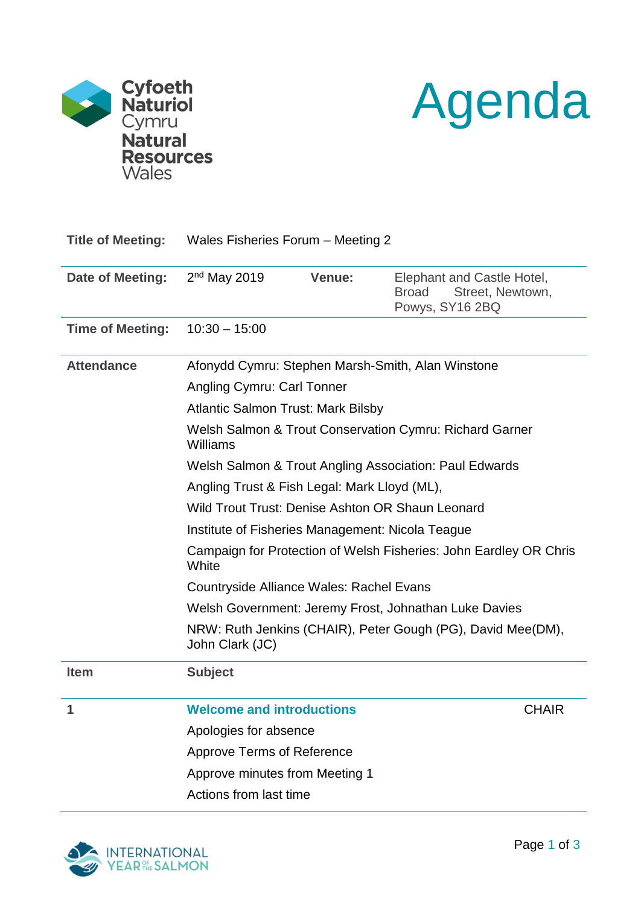



| <b>Title of Meeting:</b> | Wales Fisheries Forum - Meeting 2                                              |        |                                                                                   |  |
|--------------------------|--------------------------------------------------------------------------------|--------|-----------------------------------------------------------------------------------|--|
| Date of Meeting:         | $2nd$ May 2019                                                                 | Venue: | Elephant and Castle Hotel,<br><b>Broad</b><br>Street, Newtown,<br>Powys, SY16 2BQ |  |
| <b>Time of Meeting:</b>  | $10:30 - 15:00$                                                                |        |                                                                                   |  |
| <b>Attendance</b>        | Afonydd Cymru: Stephen Marsh-Smith, Alan Winstone                              |        |                                                                                   |  |
|                          | Angling Cymru: Carl Tonner                                                     |        |                                                                                   |  |
|                          | <b>Atlantic Salmon Trust: Mark Bilsby</b>                                      |        |                                                                                   |  |
|                          | Welsh Salmon & Trout Conservation Cymru: Richard Garner<br>Williams            |        |                                                                                   |  |
|                          | Welsh Salmon & Trout Angling Association: Paul Edwards                         |        |                                                                                   |  |
|                          | Angling Trust & Fish Legal: Mark Lloyd (ML),                                   |        |                                                                                   |  |
|                          | Wild Trout Trust: Denise Ashton OR Shaun Leonard                               |        |                                                                                   |  |
|                          | Institute of Fisheries Management: Nicola Teague                               |        |                                                                                   |  |
|                          | Campaign for Protection of Welsh Fisheries: John Eardley OR Chris<br>White     |        |                                                                                   |  |
|                          | Countryside Alliance Wales: Rachel Evans                                       |        |                                                                                   |  |
|                          | Welsh Government: Jeremy Frost, Johnathan Luke Davies                          |        |                                                                                   |  |
|                          | NRW: Ruth Jenkins (CHAIR), Peter Gough (PG), David Mee(DM),<br>John Clark (JC) |        |                                                                                   |  |
| <b>Item</b>              | <b>Subject</b>                                                                 |        |                                                                                   |  |
| 1                        | <b>Welcome and introductions</b>                                               |        | <b>CHAIR</b>                                                                      |  |
|                          | Apologies for absence                                                          |        |                                                                                   |  |
|                          | <b>Approve Terms of Reference</b>                                              |        |                                                                                   |  |
|                          | Approve minutes from Meeting 1                                                 |        |                                                                                   |  |
|                          | Actions from last time                                                         |        |                                                                                   |  |

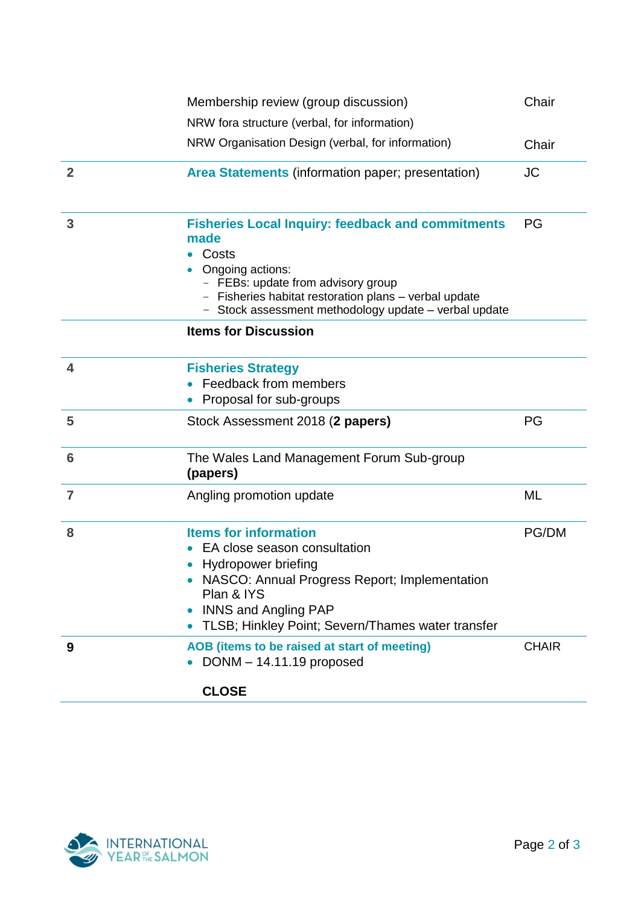|                | Membership review (group discussion)                                                                                                                                                                                                                       |              |  |
|----------------|------------------------------------------------------------------------------------------------------------------------------------------------------------------------------------------------------------------------------------------------------------|--------------|--|
|                | NRW fora structure (verbal, for information)<br>NRW Organisation Design (verbal, for information)                                                                                                                                                          | Chair        |  |
| $\overline{2}$ | Area Statements (information paper; presentation)                                                                                                                                                                                                          | <b>JC</b>    |  |
| 3              | <b>Fisheries Local Inquiry: feedback and commitments</b><br>made<br>Costs<br>Ongoing actions:<br>- FEBs: update from advisory group<br>Fisheries habitat restoration plans - verbal update<br>Stock assessment methodology update - verbal update          | PG           |  |
|                | <b>Items for Discussion</b>                                                                                                                                                                                                                                |              |  |
| 4              | <b>Fisheries Strategy</b><br>Feedback from members<br>Proposal for sub-groups                                                                                                                                                                              |              |  |
| 5              | Stock Assessment 2018 (2 papers)                                                                                                                                                                                                                           | PG           |  |
| 6              | The Wales Land Management Forum Sub-group<br>(papers)                                                                                                                                                                                                      |              |  |
| $\overline{7}$ | Angling promotion update                                                                                                                                                                                                                                   | ML           |  |
| 8              | <b>Items for information</b><br>EA close season consultation<br><b>Hydropower briefing</b><br>NASCO: Annual Progress Report; Implementation<br>Plan & IYS<br><b>INNS and Angling PAP</b><br>TLSB; Hinkley Point; Severn/Thames water transfer<br>$\bullet$ | <b>PG/DM</b> |  |
| 9              | AOB (items to be raised at start of meeting)<br>DONM - 14.11.19 proposed<br><b>CLOSE</b>                                                                                                                                                                   | <b>CHAIR</b> |  |